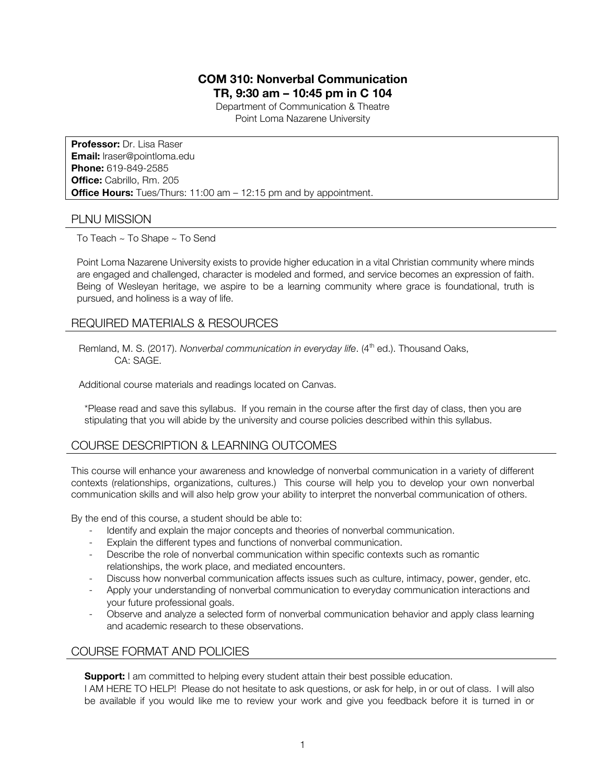# **COM 310: Nonverbal Communication**

**TR, 9:30 am – 10:45 pm in C 104**

Department of Communication & Theatre Point Loma Nazarene University

**Professor:** Dr. Lisa Raser **Email:** lraser@pointloma.edu **Phone:** 619-849-2585 **Office:** Cabrillo, Rm. 205 **Office Hours:** Tues/Thurs: 11:00 am – 12:15 pm and by appointment.

## PLNU MISSION

To Teach ~ To Shape ~ To Send

Point Loma Nazarene University exists to provide higher education in a vital Christian community where minds are engaged and challenged, character is modeled and formed, and service becomes an expression of faith. Being of Wesleyan heritage, we aspire to be a learning community where grace is foundational, truth is pursued, and holiness is a way of life.

# REQUIRED MATERIALS & RESOURCES

Remland, M. S. (2017). *Nonverbal communication in everyday life*. (4<sup>th</sup> ed.). Thousand Oaks, CA: SAGE.

Additional course materials and readings located on Canvas.

\*Please read and save this syllabus. If you remain in the course after the first day of class, then you are stipulating that you will abide by the university and course policies described within this syllabus.

# COURSE DESCRIPTION & LEARNING OUTCOMES

This course will enhance your awareness and knowledge of nonverbal communication in a variety of different contexts (relationships, organizations, cultures.) This course will help you to develop your own nonverbal communication skills and will also help grow your ability to interpret the nonverbal communication of others.

By the end of this course, a student should be able to:

- Identify and explain the major concepts and theories of nonverbal communication.
- Explain the different types and functions of nonverbal communication.
- Describe the role of nonverbal communication within specific contexts such as romantic relationships, the work place, and mediated encounters.
- Discuss how nonverbal communication affects issues such as culture, intimacy, power, gender, etc.
- Apply your understanding of nonverbal communication to everyday communication interactions and your future professional goals.
- Observe and analyze a selected form of nonverbal communication behavior and apply class learning and academic research to these observations.

# COURSE FORMAT AND POLICIES

**Support:** I am committed to helping every student attain their best possible education.

I AM HERE TO HELP! Please do not hesitate to ask questions, or ask for help, in or out of class. I will also be available if you would like me to review your work and give you feedback before it is turned in or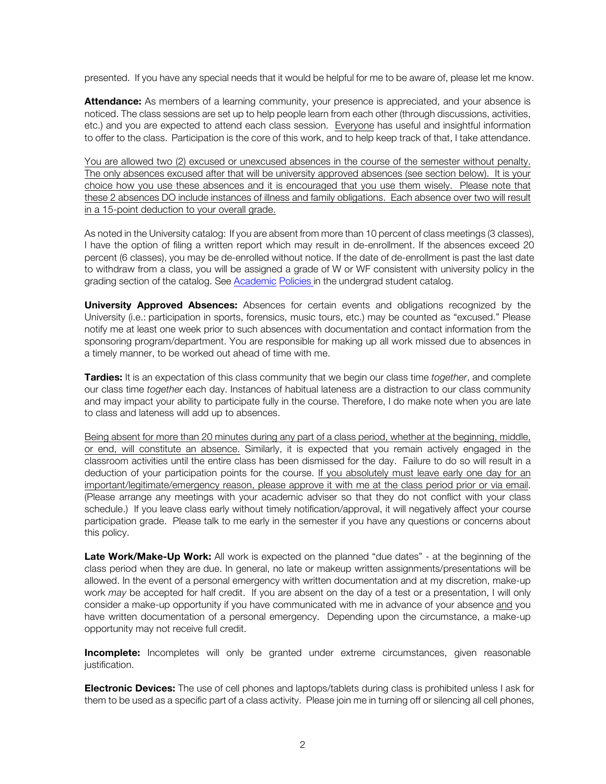presented. If you have any special needs that it would be helpful for me to be aware of, please let me know.

**Attendance:** As members of a learning community, your presence is appreciated, and your absence is noticed. The class sessions are set up to help people learn from each other (through discussions, activities, etc.) and you are expected to attend each class session. Everyone has useful and insightful information to offer to the class. Participation is the core of this work, and to help keep track of that, I take attendance.

You are allowed two (2) excused or unexcused absences in the course of the semester without penalty. The only absences excused after that will be university approved absences (see section below). It is your choice how you use these absences and it is encouraged that you use them wisely. Please note that these 2 absences DO include instances of illness and family obligations. Each absence over two will result in a 15-point deduction to your overall grade.

As noted in the University catalog: If you are absent from more than 10 percent of class meetings (3 classes), I have the option of filing a written report which may result in de-enrollment. If the absences exceed 20 percent (6 classes), you may be de-enrolled without notice. If the date of de-enrollment is past the last date to withdraw from a class, you will be assigned a grade of W or WF consistent with university policy in the grading section of the catalog. See Academic Policies in the undergrad student catalog.

**University Approved Absences:** Absences for certain events and obligations recognized by the University (i.e.: participation in sports, forensics, music tours, etc.) may be counted as "excused." Please notify me at least one week prior to such absences with documentation and contact information from the sponsoring program/department. You are responsible for making up all work missed due to absences in a timely manner, to be worked out ahead of time with me.

**Tardies:** It is an expectation of this class community that we begin our class time *together*, and complete our class time *together* each day. Instances of habitual lateness are a distraction to our class community and may impact your ability to participate fully in the course. Therefore, I do make note when you are late to class and lateness will add up to absences.

Being absent for more than 20 minutes during any part of a class period, whether at the beginning, middle, or end, will constitute an absence. Similarly, it is expected that you remain actively engaged in the classroom activities until the entire class has been dismissed for the day. Failure to do so will result in a deduction of your participation points for the course. If you absolutely must leave early one day for an important/legitimate/emergency reason, please approve it with me at the class period prior or via email. (Please arrange any meetings with your academic adviser so that they do not conflict with your class schedule.) If you leave class early without timely notification/approval, it will negatively affect your course participation grade. Please talk to me early in the semester if you have any questions or concerns about this policy.

**Late Work/Make-Up Work:** All work is expected on the planned "due dates" - at the beginning of the class period when they are due. In general, no late or makeup written assignments/presentations will be allowed. In the event of a personal emergency with written documentation and at my discretion, make-up work *may* be accepted for half credit. If you are absent on the day of a test or a presentation, I will only consider a make-up opportunity if you have communicated with me in advance of your absence and you have written documentation of a personal emergency. Depending upon the circumstance, a make-up opportunity may not receive full credit.

**Incomplete:** Incompletes will only be granted under extreme circumstances, given reasonable justification.

**Electronic Devices:** The use of cell phones and laptops/tablets during class is prohibited unless I ask for them to be used as a specific part of a class activity. Please join me in turning off or silencing all cell phones,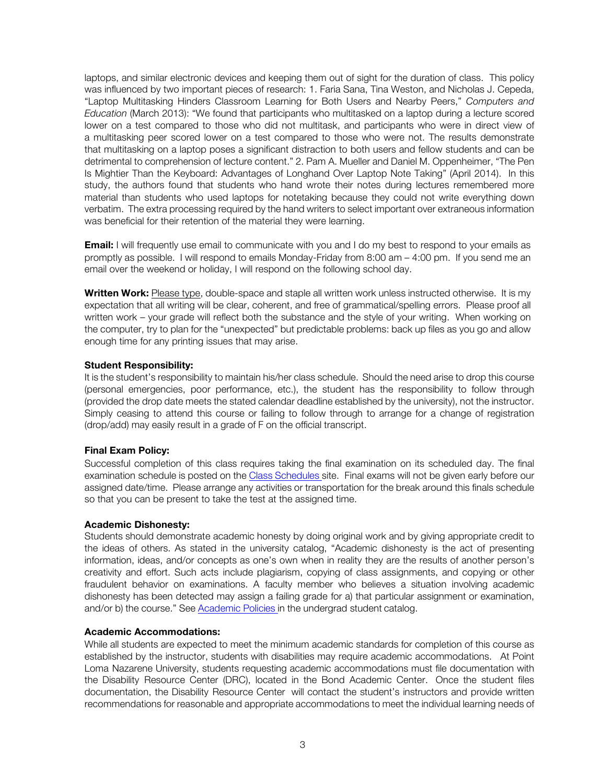laptops, and similar electronic devices and keeping them out of sight for the duration of class. This policy was influenced by two important pieces of research: 1. Faria Sana, Tina Weston, and Nicholas J. Cepeda, "Laptop Multitasking Hinders Classroom Learning for Both Users and Nearby Peers," *Computers and Education* (March 2013): "We found that participants who multitasked on a laptop during a lecture scored lower on a test compared to those who did not multitask, and participants who were in direct view of a multitasking peer scored lower on a test compared to those who were not. The results demonstrate that multitasking on a laptop poses a significant distraction to both users and fellow students and can be detrimental to comprehension of lecture content." 2. Pam A. Mueller and Daniel M. Oppenheimer, "The Pen Is Mightier Than the Keyboard: Advantages of Longhand Over Laptop Note Taking" (April 2014). In this study, the authors found that students who hand wrote their notes during lectures remembered more material than students who used laptops for notetaking because they could not write everything down verbatim. The extra processing required by the hand writers to select important over extraneous information was beneficial for their retention of the material they were learning.

**Email:** I will frequently use email to communicate with you and I do my best to respond to your emails as promptly as possible. I will respond to emails Monday-Friday from 8:00 am – 4:00 pm. If you send me an email over the weekend or holiday, I will respond on the following school day.

**Written Work:** Please type, double-space and staple all written work unless instructed otherwise.It is my expectation that all writing will be clear, coherent, and free of grammatical/spelling errors. Please proof all written work – your grade will reflect both the substance and the style of your writing. When working on the computer, try to plan for the "unexpected" but predictable problems: back up files as you go and allow enough time for any printing issues that may arise.

#### **Student Responsibility:**

It is the student's responsibility to maintain his/her class schedule. Should the need arise to drop this course (personal emergencies, poor performance, etc.), the student has the responsibility to follow through (provided the drop date meets the stated calendar deadline established by the university), not the instructor. Simply ceasing to attend this course or failing to follow through to arrange for a change of registration (drop/add) may easily result in a grade of F on the official transcript.

#### **Final Exam Policy:**

Successful completion of this class requires taking the final examination on its scheduled day. The final examination schedule is posted on the Class Schedules site. Final exams will not be given early before our assigned date/time. Please arrange any activities or transportation for the break around this finals schedule so that you can be present to take the test at the assigned time.

#### **Academic Dishonesty:**

Students should demonstrate academic honesty by doing original work and by giving appropriate credit to the ideas of others. As stated in the university catalog, "Academic dishonesty is the act of presenting information, ideas, and/or concepts as one's own when in reality they are the results of another person's creativity and effort. Such acts include plagiarism, copying of class assignments, and copying or other fraudulent behavior on examinations. A faculty member who believes a situation involving academic dishonesty has been detected may assign a failing grade for a) that particular assignment or examination, and/or b) the course." See Academic Policies in the undergrad student catalog.

#### **Academic Accommodations:**

While all students are expected to meet the minimum academic standards for completion of this course as established by the instructor, students with disabilities may require academic accommodations. At Point Loma Nazarene University, students requesting academic accommodations must file documentation with the Disability Resource Center (DRC), located in the Bond Academic Center. Once the student files documentation, the Disability Resource Center will contact the student's instructors and provide written recommendations for reasonable and appropriate accommodations to meet the individual learning needs of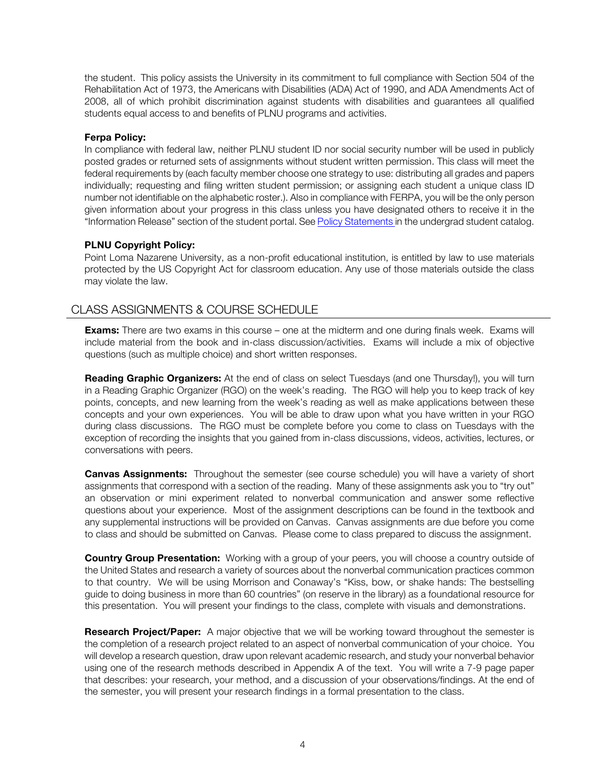the student. This policy assists the University in its commitment to full compliance with Section 504 of the Rehabilitation Act of 1973, the Americans with Disabilities (ADA) Act of 1990, and ADA Amendments Act of 2008, all of which prohibit discrimination against students with disabilities and guarantees all qualified students equal access to and benefits of PLNU programs and activities.

#### **Ferpa Policy:**

In compliance with federal law, neither PLNU student ID nor social security number will be used in publicly posted grades or returned sets of assignments without student written permission. This class will meet the federal requirements by (each faculty member choose one strategy to use: distributing all grades and papers individually; requesting and filing written student permission; or assigning each student a unique class ID number not identifiable on the alphabetic roster.). Also in compliance with FERPA, you will be the only person given information about your progress in this class unless you have designated others to receive it in the "Information Release" section of the student portal. See Policy Statements in the undergrad student catalog.

### **PLNU Copyright Policy:**

Point Loma Nazarene University, as a non-profit educational institution, is entitled by law to use materials protected by the US Copyright Act for classroom education. Any use of those materials outside the class may violate the law.

# CLASS ASSIGNMENTS & COURSE SCHEDULE

**Exams:** There are two exams in this course – one at the midterm and one during finals week. Exams will include material from the book and in-class discussion/activities. Exams will include a mix of objective questions (such as multiple choice) and short written responses.

**Reading Graphic Organizers:** At the end of class on select Tuesdays (and one Thursday!), you will turn in a Reading Graphic Organizer (RGO) on the week's reading. The RGO will help you to keep track of key points, concepts, and new learning from the week's reading as well as make applications between these concepts and your own experiences. You will be able to draw upon what you have written in your RGO during class discussions. The RGO must be complete before you come to class on Tuesdays with the exception of recording the insights that you gained from in-class discussions, videos, activities, lectures, or conversations with peers.

**Canvas Assignments:** Throughout the semester (see course schedule) you will have a variety of short assignments that correspond with a section of the reading. Many of these assignments ask you to "try out" an observation or mini experiment related to nonverbal communication and answer some reflective questions about your experience. Most of the assignment descriptions can be found in the textbook and any supplemental instructions will be provided on Canvas. Canvas assignments are due before you come to class and should be submitted on Canvas. Please come to class prepared to discuss the assignment.

**Country Group Presentation:** Working with a group of your peers, you will choose a country outside of the United States and research a variety of sources about the nonverbal communication practices common to that country. We will be using Morrison and Conaway's "Kiss, bow, or shake hands: The bestselling guide to doing business in more than 60 countries" (on reserve in the library) as a foundational resource for this presentation. You will present your findings to the class, complete with visuals and demonstrations.

**Research Project/Paper:** A major objective that we will be working toward throughout the semester is the completion of a research project related to an aspect of nonverbal communication of your choice. You will develop a research question, draw upon relevant academic research, and study your nonverbal behavior using one of the research methods described in Appendix A of the text. You will write a 7-9 page paper that describes: your research, your method, and a discussion of your observations/findings. At the end of the semester, you will present your research findings in a formal presentation to the class.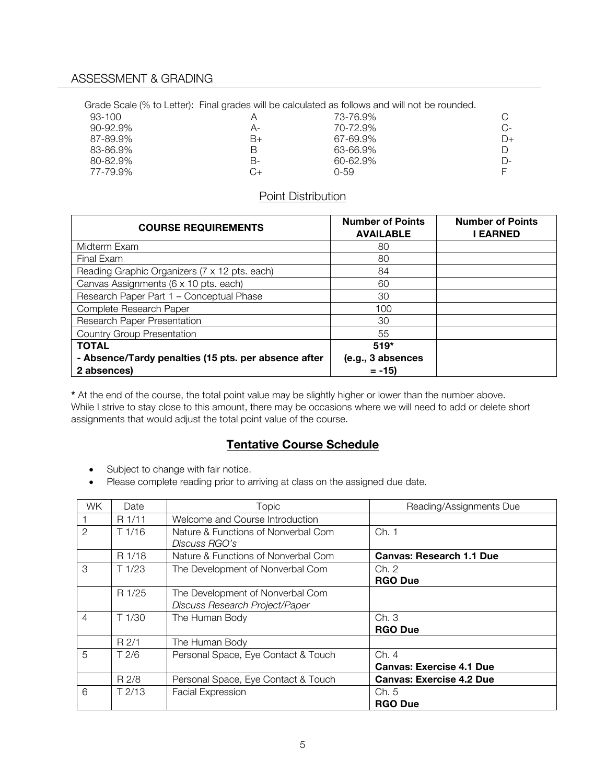Grade Scale (% to Letter): Final grades will be calculated as follows and will not be rounded.

| 93-100        |    | 73-76.9%     |    |
|---------------|----|--------------|----|
| $90 - 92.9\%$ | А- | 70-72.9%     | C- |
| 87-89.9%      | B+ | 67-69.9%     | D+ |
| 83-86.9%      | В  | 63-66.9%     |    |
| 80-82.9%      | В- | $60 - 62.9%$ | D- |
| 77-79.9%      | G+ | 0-59         |    |

# Point Distribution

| <b>COURSE REQUIREMENTS</b>                           | <b>Number of Points</b><br><b>AVAILABLE</b> | <b>Number of Points</b><br><b>EARNED</b> |
|------------------------------------------------------|---------------------------------------------|------------------------------------------|
| Midterm Exam                                         | 80                                          |                                          |
| Final Exam                                           | 80                                          |                                          |
| Reading Graphic Organizers (7 x 12 pts. each)        | 84                                          |                                          |
| Canvas Assignments (6 x 10 pts. each)                | 60                                          |                                          |
| Research Paper Part 1 - Conceptual Phase             | 30                                          |                                          |
| Complete Research Paper                              | 100                                         |                                          |
| Research Paper Presentation                          | 30                                          |                                          |
| <b>Country Group Presentation</b>                    | 55                                          |                                          |
| <b>TOTAL</b>                                         | $519*$                                      |                                          |
| - Absence/Tardy penalties (15 pts. per absence after | (e.g., 3 absences                           |                                          |
| 2 absences)                                          | $= -15$                                     |                                          |

**\*** At the end of the course, the total point value may be slightly higher or lower than the number above. While I strive to stay close to this amount, there may be occasions where we will need to add or delete short assignments that would adjust the total point value of the course.

# **Tentative Course Schedule**

- Subject to change with fair notice.
- Please complete reading prior to arriving at class on the assigned due date.

| WK.            | Date   | Topic                                                              | Reading/Assignments Due                  |
|----------------|--------|--------------------------------------------------------------------|------------------------------------------|
|                | R 1/11 | Welcome and Course Introduction                                    |                                          |
| $\mathcal{P}$  | T1/16  | Nature & Functions of Nonverbal Com<br>Discuss RGO's               | Ch. 1                                    |
|                | R 1/18 | Nature & Functions of Nonverbal Com                                | <b>Canvas: Research 1.1 Due</b>          |
| 3              | T1/23  | The Development of Nonverbal Com                                   | Ch. 2<br><b>RGO Due</b>                  |
|                | R 1/25 | The Development of Nonverbal Com<br>Discuss Research Project/Paper |                                          |
| $\overline{4}$ | T1/30  | The Human Body                                                     | Ch.3<br><b>RGO Due</b>                   |
|                | R2/1   | The Human Body                                                     |                                          |
| 5              | T 2/6  | Personal Space, Eye Contact & Touch                                | Ch. 4<br><b>Canvas: Exercise 4.1 Due</b> |
|                | R 2/8  | Personal Space, Eye Contact & Touch                                | <b>Canvas: Exercise 4.2 Due</b>          |
| 6              | T2/13  | <b>Facial Expression</b>                                           | Ch. 5<br><b>RGO Due</b>                  |